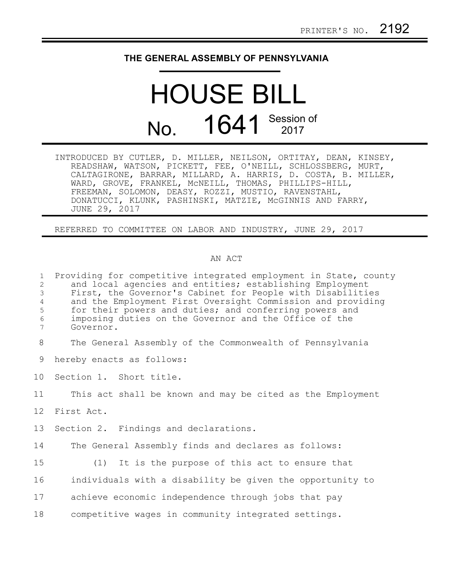## **THE GENERAL ASSEMBLY OF PENNSYLVANIA**

## HOUSE BILL No. 1641 Session of

INTRODUCED BY CUTLER, D. MILLER, NEILSON, ORTITAY, DEAN, KINSEY, READSHAW, WATSON, PICKETT, FEE, O'NEILL, SCHLOSSBERG, MURT, CALTAGIRONE, BARRAR, MILLARD, A. HARRIS, D. COSTA, B. MILLER, WARD, GROVE, FRANKEL, McNEILL, THOMAS, PHILLIPS-HILL, FREEMAN, SOLOMON, DEASY, ROZZI, MUSTIO, RAVENSTAHL, DONATUCCI, KLUNK, PASHINSKI, MATZIE, McGINNIS AND FARRY, JUNE 29, 2017

REFERRED TO COMMITTEE ON LABOR AND INDUSTRY, JUNE 29, 2017

## AN ACT

Providing for competitive integrated employment in State, county and local agencies and entities; establishing Employment First, the Governor's Cabinet for People with Disabilities and the Employment First Oversight Commission and providing for their powers and duties; and conferring powers and imposing duties on the Governor and the Office of the Governor. 1 2 3 4 5 6 7

The General Assembly of the Commonwealth of Pennsylvania 8

hereby enacts as follows: 9

Section 1. Short title. 10

This act shall be known and may be cited as the Employment 11

First Act. 12

Section 2. Findings and declarations. 13

The General Assembly finds and declares as follows: 14

15

(1) It is the purpose of this act to ensure that

individuals with a disability be given the opportunity to 16

achieve economic independence through jobs that pay 17

competitive wages in community integrated settings. 18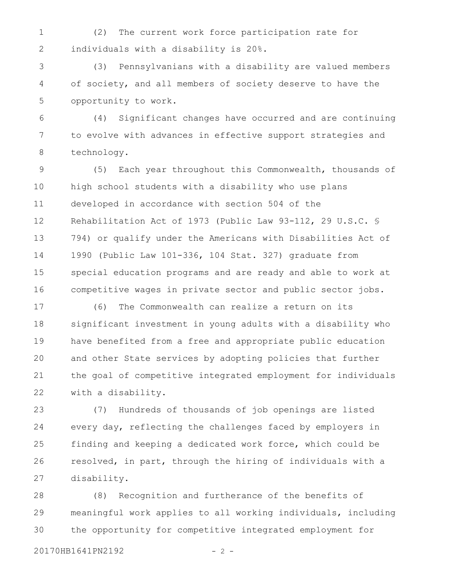(2) The current work force participation rate for individuals with a disability is 20%. 1 2

(3) Pennsylvanians with a disability are valued members of society, and all members of society deserve to have the opportunity to work. 3 4 5

(4) Significant changes have occurred and are continuing to evolve with advances in effective support strategies and technology. 6 7 8

(5) Each year throughout this Commonwealth, thousands of high school students with a disability who use plans developed in accordance with section 504 of the Rehabilitation Act of 1973 (Public Law 93-112, 29 U.S.C. § 794) or qualify under the Americans with Disabilities Act of 1990 (Public Law 101-336, 104 Stat. 327) graduate from special education programs and are ready and able to work at competitive wages in private sector and public sector jobs. 9 10 11 12 13 14 15 16

(6) The Commonwealth can realize a return on its significant investment in young adults with a disability who have benefited from a free and appropriate public education and other State services by adopting policies that further the goal of competitive integrated employment for individuals with a disability. 17 18 19 20 21 22

(7) Hundreds of thousands of job openings are listed every day, reflecting the challenges faced by employers in finding and keeping a dedicated work force, which could be resolved, in part, through the hiring of individuals with a disability. 23 24 25 26 27

(8) Recognition and furtherance of the benefits of meaningful work applies to all working individuals, including the opportunity for competitive integrated employment for 28 29 30

20170HB1641PN2192 - 2 -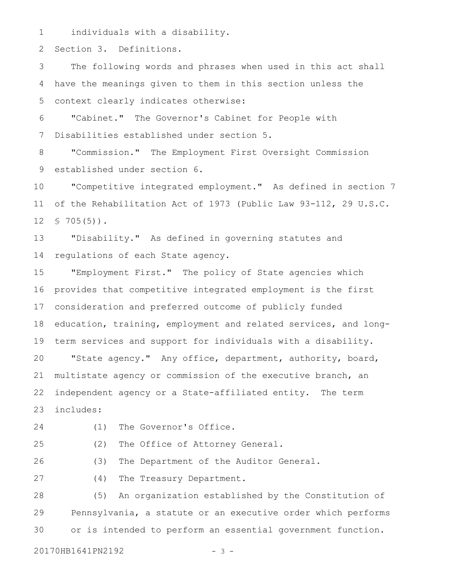individuals with a disability. 1

Section 3. Definitions. 2

The following words and phrases when used in this act shall have the meanings given to them in this section unless the context clearly indicates otherwise: 3 4 5

"Cabinet." The Governor's Cabinet for People with Disabilities established under section 5. 6 7

"Commission." The Employment First Oversight Commission established under section 6. 8 9

"Competitive integrated employment." As defined in section 7 of the Rehabilitation Act of 1973 (Public Law 93-112, 29 U.S.C.  $$705(5)$ . 10 11 12

"Disability." As defined in governing statutes and regulations of each State agency. 13 14

"Employment First." The policy of State agencies which provides that competitive integrated employment is the first consideration and preferred outcome of publicly funded education, training, employment and related services, and longterm services and support for individuals with a disability. "State agency." Any office, department, authority, board, multistate agency or commission of the executive branch, an independent agency or a State-affiliated entity. The term includes: 15 16 17 18 19 20 21 22 23

24

(1) The Governor's Office.

25

(2) The Office of Attorney General.

(3) The Department of the Auditor General. 26

27

(4) The Treasury Department.

(5) An organization established by the Constitution of Pennsylvania, a statute or an executive order which performs or is intended to perform an essential government function. 28 29 30

20170HB1641PN2192 - 3 -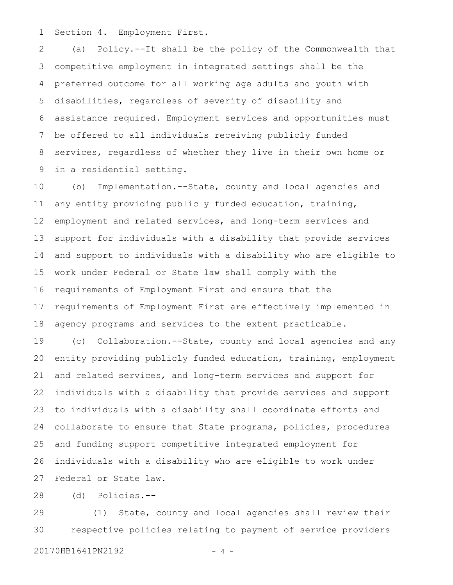Section 4. Employment First. 1

(a) Policy.--It shall be the policy of the Commonwealth that competitive employment in integrated settings shall be the preferred outcome for all working age adults and youth with disabilities, regardless of severity of disability and assistance required. Employment services and opportunities must be offered to all individuals receiving publicly funded services, regardless of whether they live in their own home or in a residential setting. 2 3 4 5 6 7 8 9

(b) Implementation.--State, county and local agencies and any entity providing publicly funded education, training, employment and related services, and long-term services and support for individuals with a disability that provide services and support to individuals with a disability who are eligible to work under Federal or State law shall comply with the requirements of Employment First and ensure that the requirements of Employment First are effectively implemented in agency programs and services to the extent practicable. 10 11 12 13 14 15 16 17 18

(c) Collaboration.--State, county and local agencies and any entity providing publicly funded education, training, employment and related services, and long-term services and support for individuals with a disability that provide services and support to individuals with a disability shall coordinate efforts and collaborate to ensure that State programs, policies, procedures and funding support competitive integrated employment for individuals with a disability who are eligible to work under Federal or State law. 19 20 21 22 23 24 25 26 27

(d) Policies.-- 28

(1) State, county and local agencies shall review their respective policies relating to payment of service providers 20170HB1641PN2192 - 4 -29 30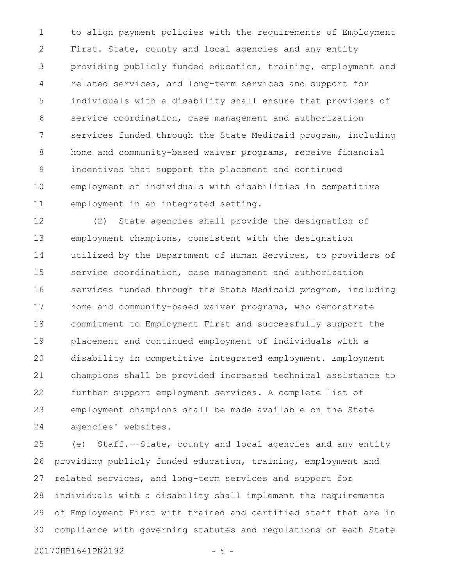to align payment policies with the requirements of Employment First. State, county and local agencies and any entity providing publicly funded education, training, employment and related services, and long-term services and support for individuals with a disability shall ensure that providers of service coordination, case management and authorization services funded through the State Medicaid program, including home and community-based waiver programs, receive financial incentives that support the placement and continued employment of individuals with disabilities in competitive employment in an integrated setting. 1 2 3 4 5 6 7 8 9 10 11

(2) State agencies shall provide the designation of employment champions, consistent with the designation utilized by the Department of Human Services, to providers of service coordination, case management and authorization services funded through the State Medicaid program, including home and community-based waiver programs, who demonstrate commitment to Employment First and successfully support the placement and continued employment of individuals with a disability in competitive integrated employment. Employment champions shall be provided increased technical assistance to further support employment services. A complete list of employment champions shall be made available on the State agencies' websites. 12 13 14 15 16 17 18 19 20 21 22 23 24

(e) Staff.--State, county and local agencies and any entity providing publicly funded education, training, employment and related services, and long-term services and support for individuals with a disability shall implement the requirements of Employment First with trained and certified staff that are in compliance with governing statutes and regulations of each State 25 26 27 28 29 30

20170HB1641PN2192 - 5 -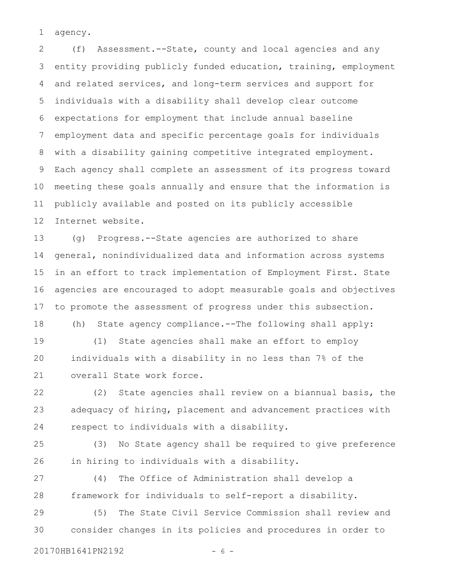agency. 1

(f) Assessment.--State, county and local agencies and any entity providing publicly funded education, training, employment and related services, and long-term services and support for individuals with a disability shall develop clear outcome expectations for employment that include annual baseline employment data and specific percentage goals for individuals with a disability gaining competitive integrated employment. Each agency shall complete an assessment of its progress toward meeting these goals annually and ensure that the information is publicly available and posted on its publicly accessible Internet website. 2 3 4 5 6 7 8 9 10 11 12

(g) Progress.--State agencies are authorized to share general, nonindividualized data and information across systems in an effort to track implementation of Employment First. State agencies are encouraged to adopt measurable goals and objectives to promote the assessment of progress under this subsection. 13 14 15 16 17

(h) State agency compliance.--The following shall apply: (1) State agencies shall make an effort to employ individuals with a disability in no less than 7% of the overall State work force. 18 19 20 21

(2) State agencies shall review on a biannual basis, the adequacy of hiring, placement and advancement practices with respect to individuals with a disability. 22 23 24

(3) No State agency shall be required to give preference in hiring to individuals with a disability. 25 26

(4) The Office of Administration shall develop a framework for individuals to self-report a disability. 27 28

(5) The State Civil Service Commission shall review and consider changes in its policies and procedures in order to 29 30

20170HB1641PN2192 - 6 -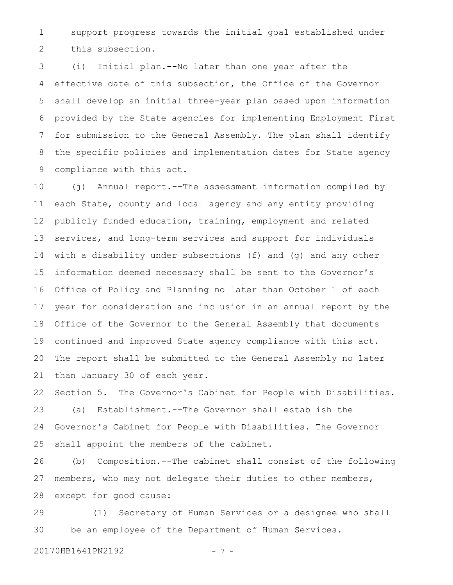support progress towards the initial goal established under this subsection. 1 2

(i) Initial plan.--No later than one year after the effective date of this subsection, the Office of the Governor shall develop an initial three-year plan based upon information provided by the State agencies for implementing Employment First for submission to the General Assembly. The plan shall identify the specific policies and implementation dates for State agency compliance with this act. 3 4 5 6 7 8 9

(j) Annual report.--The assessment information compiled by each State, county and local agency and any entity providing publicly funded education, training, employment and related services, and long-term services and support for individuals with a disability under subsections (f) and (g) and any other information deemed necessary shall be sent to the Governor's Office of Policy and Planning no later than October 1 of each year for consideration and inclusion in an annual report by the Office of the Governor to the General Assembly that documents continued and improved State agency compliance with this act. The report shall be submitted to the General Assembly no later than January 30 of each year. 10 11 12 13 14 15 16 17 18 19 20 21

Section 5. The Governor's Cabinet for People with Disabilities. (a) Establishment.--The Governor shall establish the Governor's Cabinet for People with Disabilities. The Governor shall appoint the members of the cabinet. 22 23 24 25

(b) Composition.--The cabinet shall consist of the following members, who may not delegate their duties to other members, except for good cause: 26 27 28

(1) Secretary of Human Services or a designee who shall be an employee of the Department of Human Services. 29 30

20170HB1641PN2192 - 7 -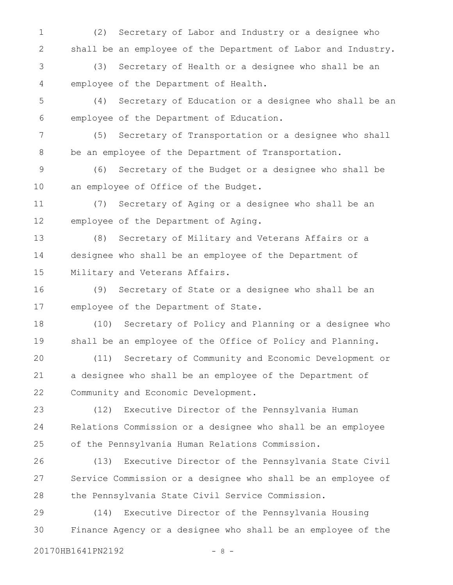(2) Secretary of Labor and Industry or a designee who shall be an employee of the Department of Labor and Industry. 1 2

(3) Secretary of Health or a designee who shall be an employee of the Department of Health. 3 4

(4) Secretary of Education or a designee who shall be an employee of the Department of Education. 5 6

(5) Secretary of Transportation or a designee who shall be an employee of the Department of Transportation. 7 8

(6) Secretary of the Budget or a designee who shall be an employee of Office of the Budget. 9 10

(7) Secretary of Aging or a designee who shall be an employee of the Department of Aging. 11 12

(8) Secretary of Military and Veterans Affairs or a designee who shall be an employee of the Department of Military and Veterans Affairs. 13 14 15

(9) Secretary of State or a designee who shall be an employee of the Department of State. 16 17

(10) Secretary of Policy and Planning or a designee who shall be an employee of the Office of Policy and Planning. 18 19

(11) Secretary of Community and Economic Development or a designee who shall be an employee of the Department of Community and Economic Development. 20 21 22

(12) Executive Director of the Pennsylvania Human Relations Commission or a designee who shall be an employee of the Pennsylvania Human Relations Commission. 23 24 25

(13) Executive Director of the Pennsylvania State Civil Service Commission or a designee who shall be an employee of the Pennsylvania State Civil Service Commission. 26 27 28

(14) Executive Director of the Pennsylvania Housing Finance Agency or a designee who shall be an employee of the 29 30

20170HB1641PN2192 - 8 -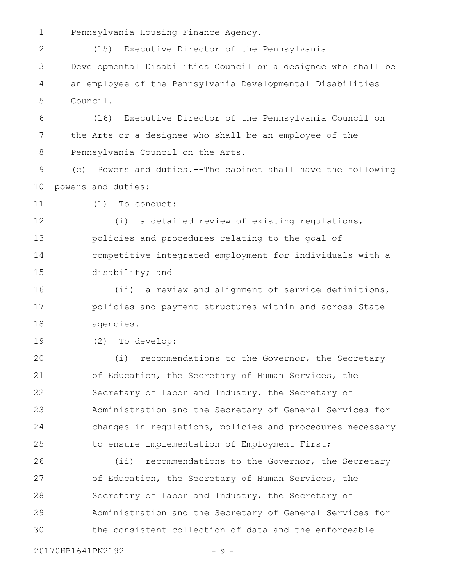Pennsylvania Housing Finance Agency. 1

(15) Executive Director of the Pennsylvania Developmental Disabilities Council or a designee who shall be an employee of the Pennsylvania Developmental Disabilities Council. 2 3 4 5

(16) Executive Director of the Pennsylvania Council on the Arts or a designee who shall be an employee of the Pennsylvania Council on the Arts. 6 7 8

(c) Powers and duties.--The cabinet shall have the following powers and duties: 9 10

(1) To conduct: 11

(i) a detailed review of existing regulations, policies and procedures relating to the goal of competitive integrated employment for individuals with a disability; and 12 13 14 15

(ii) a review and alignment of service definitions, policies and payment structures within and across State agencies. 16 17 18

(2) To develop: 19

(i) recommendations to the Governor, the Secretary of Education, the Secretary of Human Services, the Secretary of Labor and Industry, the Secretary of Administration and the Secretary of General Services for changes in regulations, policies and procedures necessary to ensure implementation of Employment First; 20 21 22 23 24 25

(ii) recommendations to the Governor, the Secretary of Education, the Secretary of Human Services, the Secretary of Labor and Industry, the Secretary of Administration and the Secretary of General Services for the consistent collection of data and the enforceable 26 27 28 29 30

20170HB1641PN2192 - 9 -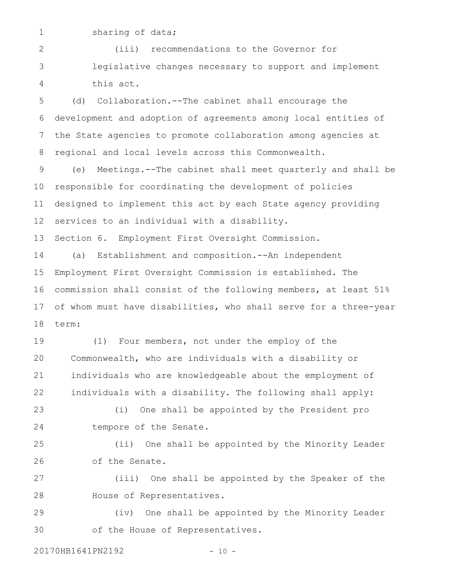1

sharing of data;

(iii) recommendations to the Governor for legislative changes necessary to support and implement this act. 2 3 4

(d) Collaboration.--The cabinet shall encourage the development and adoption of agreements among local entities of the State agencies to promote collaboration among agencies at regional and local levels across this Commonwealth. 5 6 7 8

(e) Meetings.--The cabinet shall meet quarterly and shall be responsible for coordinating the development of policies designed to implement this act by each State agency providing services to an individual with a disability. 9 10 11 12

Section 6. Employment First Oversight Commission. 13

(a) Establishment and composition.--An independent Employment First Oversight Commission is established. The commission shall consist of the following members, at least 51% of whom must have disabilities, who shall serve for a three-year term: 14 15 16 17 18

(1) Four members, not under the employ of the Commonwealth, who are individuals with a disability or individuals who are knowledgeable about the employment of individuals with a disability. The following shall apply: 19 20 21 22

(i) One shall be appointed by the President pro tempore of the Senate. 23 24

(ii) One shall be appointed by the Minority Leader of the Senate. 25 26

(iii) One shall be appointed by the Speaker of the House of Representatives. 27 28

(iv) One shall be appointed by the Minority Leader of the House of Representatives. 29 30

20170HB1641PN2192 - 10 -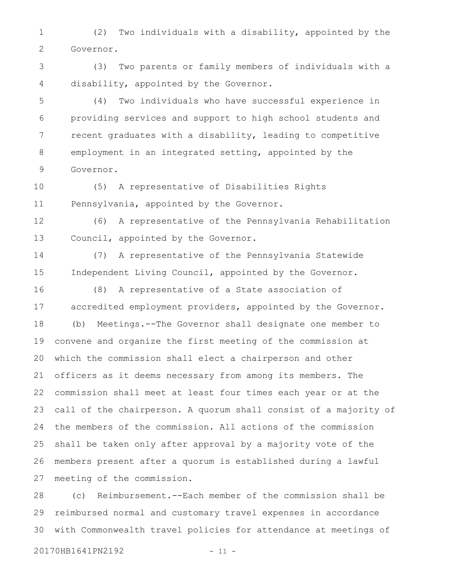(2) Two individuals with a disability, appointed by the Governor. 1 2

(3) Two parents or family members of individuals with a disability, appointed by the Governor. 3 4

(4) Two individuals who have successful experience in providing services and support to high school students and recent graduates with a disability, leading to competitive employment in an integrated setting, appointed by the Governor. 5 6 7 8 9

(5) A representative of Disabilities Rights Pennsylvania, appointed by the Governor. 10 11

(6) A representative of the Pennsylvania Rehabilitation Council, appointed by the Governor. 12 13

(7) A representative of the Pennsylvania Statewide Independent Living Council, appointed by the Governor. 14 15

16

(8) A representative of a State association of accredited employment providers, appointed by the Governor. (b) Meetings.--The Governor shall designate one member to convene and organize the first meeting of the commission at which the commission shall elect a chairperson and other officers as it deems necessary from among its members. The commission shall meet at least four times each year or at the call of the chairperson. A quorum shall consist of a majority of the members of the commission. All actions of the commission shall be taken only after approval by a majority vote of the members present after a quorum is established during a lawful meeting of the commission. 17 18 19 20 21 22 23 24 25 26 27

(c) Reimbursement.--Each member of the commission shall be reimbursed normal and customary travel expenses in accordance with Commonwealth travel policies for attendance at meetings of 28 29 30

20170HB1641PN2192 - 11 -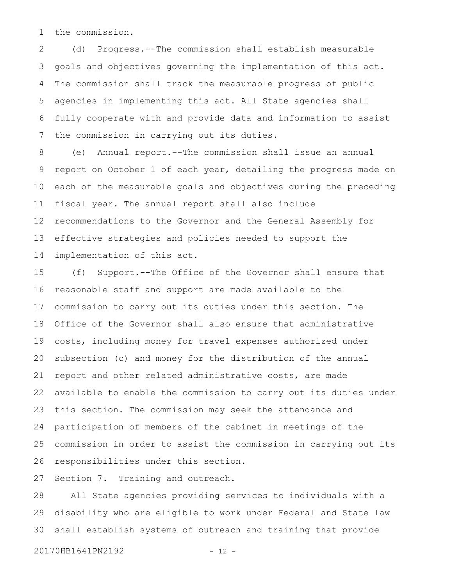the commission. 1

(d) Progress.--The commission shall establish measurable goals and objectives governing the implementation of this act. The commission shall track the measurable progress of public agencies in implementing this act. All State agencies shall fully cooperate with and provide data and information to assist the commission in carrying out its duties. 2 3 4 5 6 7

(e) Annual report.--The commission shall issue an annual report on October 1 of each year, detailing the progress made on each of the measurable goals and objectives during the preceding fiscal year. The annual report shall also include recommendations to the Governor and the General Assembly for effective strategies and policies needed to support the implementation of this act. 8 9 10 11 12 13 14

(f) Support.--The Office of the Governor shall ensure that reasonable staff and support are made available to the commission to carry out its duties under this section. The Office of the Governor shall also ensure that administrative costs, including money for travel expenses authorized under subsection (c) and money for the distribution of the annual report and other related administrative costs, are made available to enable the commission to carry out its duties under this section. The commission may seek the attendance and participation of members of the cabinet in meetings of the commission in order to assist the commission in carrying out its responsibilities under this section. 15 16 17 18 19 20 21 22 23 24 25 26

Section 7. Training and outreach. 27

All State agencies providing services to individuals with a disability who are eligible to work under Federal and State law shall establish systems of outreach and training that provide 28 29 30

20170HB1641PN2192 - 12 -